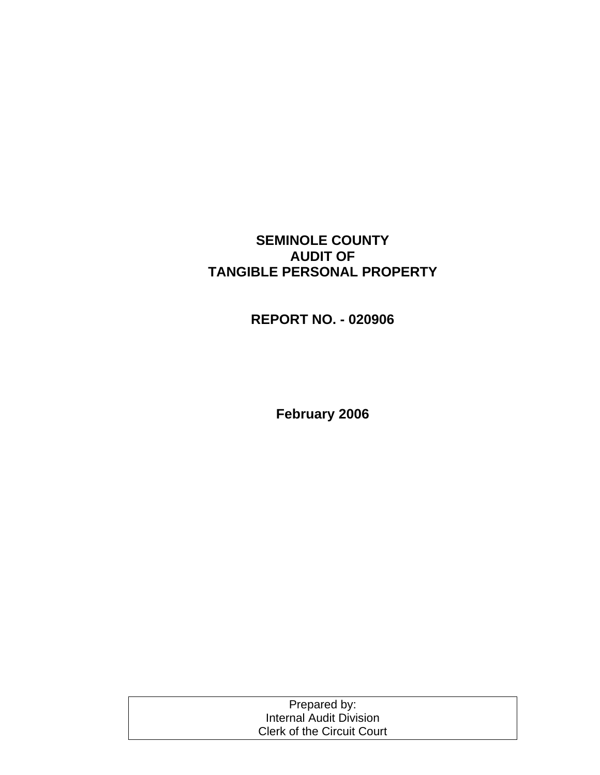## **SEMINOLE COUNTY AUDIT OF TANGIBLE PERSONAL PROPERTY**

**REPORT NO. - 020906** 

**February 2006** 

| Prepared by:                      |  |
|-----------------------------------|--|
| Internal Audit Division           |  |
| <b>Clerk of the Circuit Court</b> |  |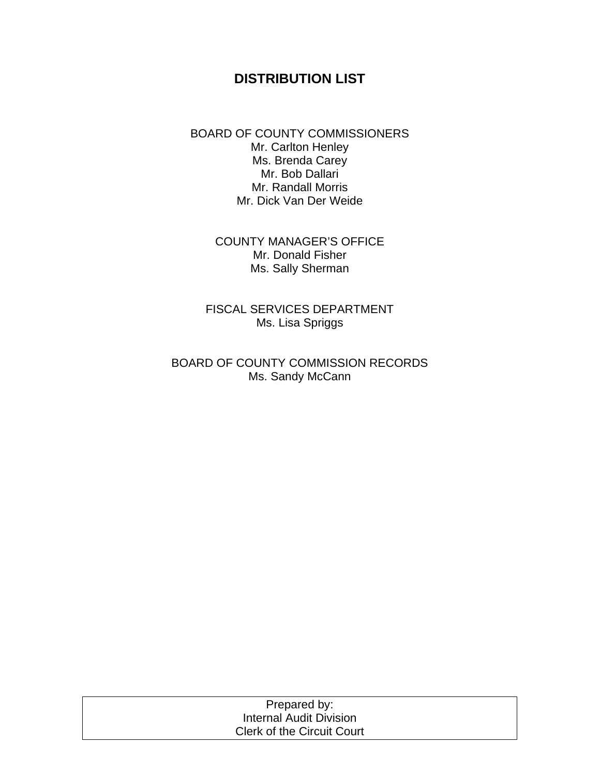## **DISTRIBUTION LIST**

BOARD OF COUNTY COMMISSIONERS Mr. Carlton Henley Ms. Brenda Carey Mr. Bob Dallari Mr. Randall Morris Mr. Dick Van Der Weide

> COUNTY MANAGER'S OFFICE Mr. Donald Fisher Ms. Sally Sherman

FISCAL SERVICES DEPARTMENT Ms. Lisa Spriggs

BOARD OF COUNTY COMMISSION RECORDS Ms. Sandy McCann

| Prepared by:               |  |
|----------------------------|--|
| Internal Audit Division    |  |
| Clerk of the Circuit Court |  |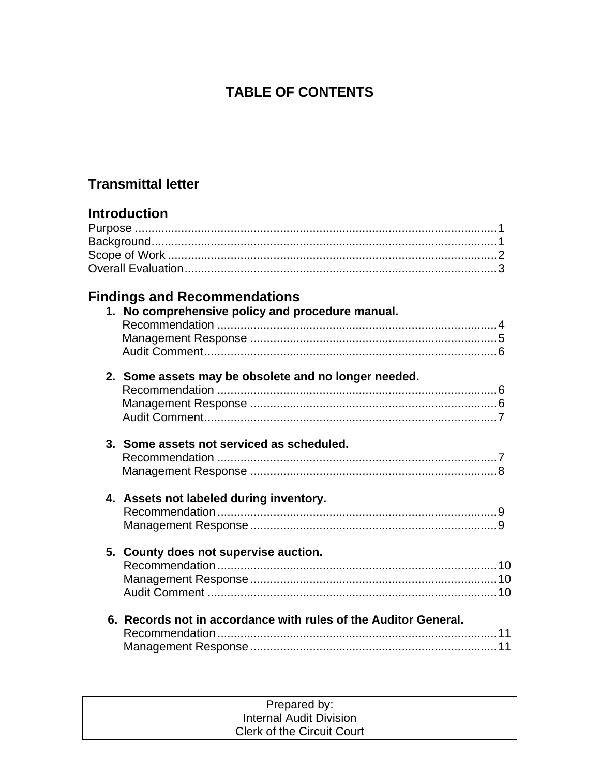# **TABLE OF CONTENTS**

## **Transmittal letter**

# **Introduction**

## **Findings and Recommendations**

| 1. No comprehensive policy and procedure manual.                |  |
|-----------------------------------------------------------------|--|
| 2. Some assets may be obsolete and no longer needed.            |  |
| 3. Some assets not serviced as scheduled.                       |  |
| 4. Assets not labeled during inventory.                         |  |
| 5. County does not supervise auction.                           |  |
| 6. Records not in accordance with rules of the Auditor General. |  |

| Prepared by:                      |  |
|-----------------------------------|--|
| Internal Audit Division           |  |
| <b>Clerk of the Circuit Court</b> |  |
|                                   |  |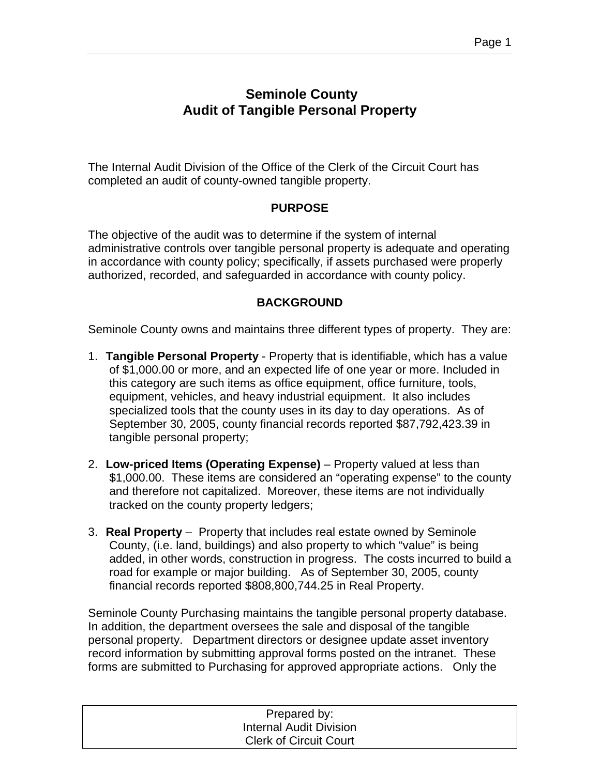## **Seminole County Audit of Tangible Personal Property**

The Internal Audit Division of the Office of the Clerk of the Circuit Court has completed an audit of county-owned tangible property.

## **PURPOSE**

The objective of the audit was to determine if the system of internal administrative controls over tangible personal property is adequate and operating in accordance with county policy; specifically, if assets purchased were properly authorized, recorded, and safeguarded in accordance with county policy.

## **BACKGROUND**

Seminole County owns and maintains three different types of property. They are:

- 1. **Tangible Personal Property** Property that is identifiable, which has a value of \$1,000.00 or more, and an expected life of one year or more. Included in this category are such items as office equipment, office furniture, tools, equipment, vehicles, and heavy industrial equipment. It also includes specialized tools that the county uses in its day to day operations. As of September 30, 2005, county financial records reported \$87,792,423.39 in tangible personal property;
- 2. **Low-priced Items (Operating Expense)** Property valued at less than \$1,000.00. These items are considered an "operating expense" to the county and therefore not capitalized. Moreover, these items are not individually tracked on the county property ledgers;
- 3. **Real Property** Property that includes real estate owned by Seminole County, (i.e. land, buildings) and also property to which "value" is being added, in other words, construction in progress. The costs incurred to build a road for example or major building. As of September 30, 2005, county financial records reported \$808,800,744.25 in Real Property.

Seminole County Purchasing maintains the tangible personal property database. In addition, the department oversees the sale and disposal of the tangible personal property. Department directors or designee update asset inventory record information by submitting approval forms posted on the intranet. These forms are submitted to Purchasing for approved appropriate actions. Only the

| Prepared by:                   |  |
|--------------------------------|--|
| <b>Internal Audit Division</b> |  |
| <b>Clerk of Circuit Court</b>  |  |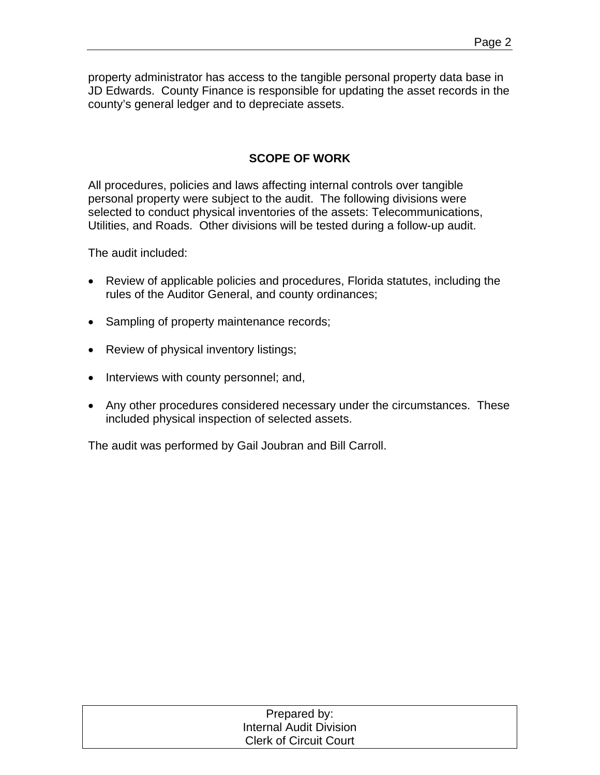property administrator has access to the tangible personal property data base in JD Edwards. County Finance is responsible for updating the asset records in the county's general ledger and to depreciate assets.

## **SCOPE OF WORK**

All procedures, policies and laws affecting internal controls over tangible personal property were subject to the audit. The following divisions were selected to conduct physical inventories of the assets: Telecommunications, Utilities, and Roads. Other divisions will be tested during a follow-up audit.

The audit included:

- Review of applicable policies and procedures, Florida statutes, including the rules of the Auditor General, and county ordinances;
- Sampling of property maintenance records;
- Review of physical inventory listings;
- Interviews with county personnel; and,
- Any other procedures considered necessary under the circumstances. These included physical inspection of selected assets.

The audit was performed by Gail Joubran and Bill Carroll.

| Prepared by:                   |  |
|--------------------------------|--|
| <b>Internal Audit Division</b> |  |
| <b>Clerk of Circuit Court</b>  |  |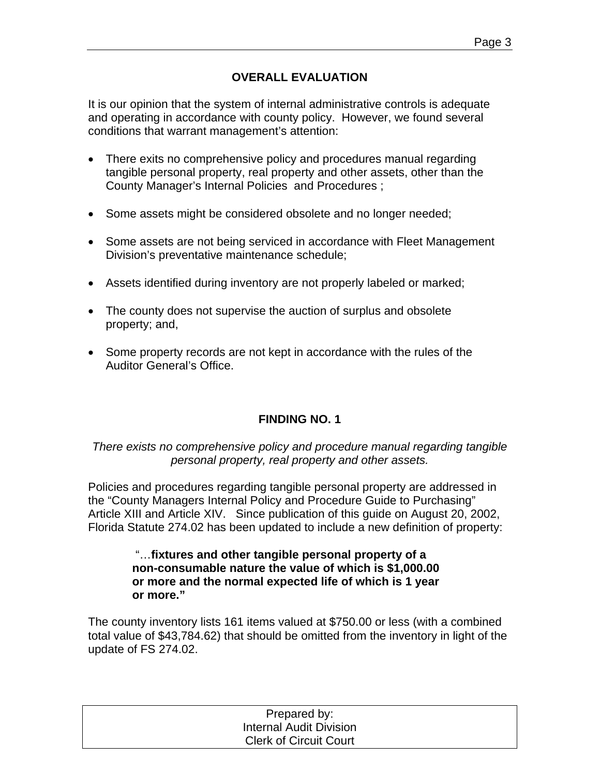## **OVERALL EVALUATION**

It is our opinion that the system of internal administrative controls is adequate and operating in accordance with county policy. However, we found several conditions that warrant management's attention:

- There exits no comprehensive policy and procedures manual regarding tangible personal property, real property and other assets, other than the County Manager's Internal Policies and Procedures ;
- Some assets might be considered obsolete and no longer needed;
- Some assets are not being serviced in accordance with Fleet Management Division's preventative maintenance schedule;
- Assets identified during inventory are not properly labeled or marked;
- The county does not supervise the auction of surplus and obsolete property; and,
- Some property records are not kept in accordance with the rules of the Auditor General's Office.

## **FINDING NO. 1**

*There exists no comprehensive policy and procedure manual regarding tangible personal property, real property and other assets.* 

Policies and procedures regarding tangible personal property are addressed in the "County Managers Internal Policy and Procedure Guide to Purchasing" Article XIII and Article XIV. Since publication of this guide on August 20, 2002, Florida Statute 274.02 has been updated to include a new definition of property:

#### "…**fixtures and other tangible personal property of a non-consumable nature the value of which is \$1,000.00 or more and the normal expected life of which is 1 year or more."**

The county inventory lists 161 items valued at \$750.00 or less (with a combined total value of \$43,784.62) that should be omitted from the inventory in light of the update of FS 274.02.

| Prepared by:                   |  |
|--------------------------------|--|
| <b>Internal Audit Division</b> |  |
| <b>Clerk of Circuit Court</b>  |  |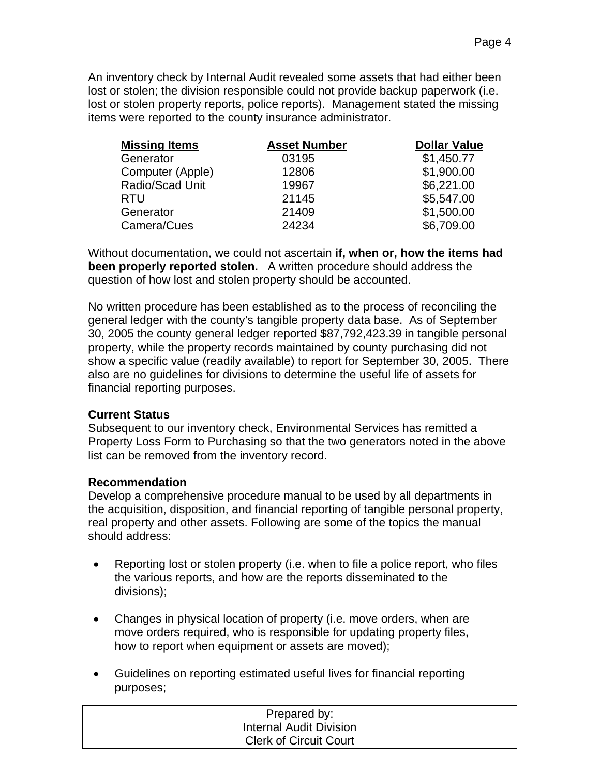An inventory check by Internal Audit revealed some assets that had either been lost or stolen; the division responsible could not provide backup paperwork (i.e. lost or stolen property reports, police reports). Management stated the missing items were reported to the county insurance administrator.

| <b>Missing Items</b> | <b>Asset Number</b> | <b>Dollar Value</b> |
|----------------------|---------------------|---------------------|
| Generator            | 03195               | \$1,450.77          |
| Computer (Apple)     | 12806               | \$1,900.00          |
| Radio/Scad Unit      | 19967               | \$6,221.00          |
| <b>RTU</b>           | 21145               | \$5,547.00          |
| Generator            | 21409               | \$1,500.00          |
| Camera/Cues          | 24234               | \$6,709.00          |
|                      |                     |                     |

Without documentation, we could not ascertain **if, when or, how the items had been properly reported stolen.** A written procedure should address the question of how lost and stolen property should be accounted.

No written procedure has been established as to the process of reconciling the general ledger with the county's tangible property data base. As of September 30, 2005 the county general ledger reported \$87,792,423.39 in tangible personal property, while the property records maintained by county purchasing did not show a specific value (readily available) to report for September 30, 2005. There also are no guidelines for divisions to determine the useful life of assets for financial reporting purposes.

## **Current Status**

Subsequent to our inventory check, Environmental Services has remitted a Property Loss Form to Purchasing so that the two generators noted in the above list can be removed from the inventory record.

#### **Recommendation**

Develop a comprehensive procedure manual to be used by all departments in the acquisition, disposition, and financial reporting of tangible personal property, real property and other assets. Following are some of the topics the manual should address:

- Reporting lost or stolen property (i.e. when to file a police report, who files the various reports, and how are the reports disseminated to the divisions);
- Changes in physical location of property (i.e. move orders, when are move orders required, who is responsible for updating property files, how to report when equipment or assets are moved);
- Guidelines on reporting estimated useful lives for financial reporting purposes;

| Prepared by:                  |  |
|-------------------------------|--|
| Internal Audit Division       |  |
| <b>Clerk of Circuit Court</b> |  |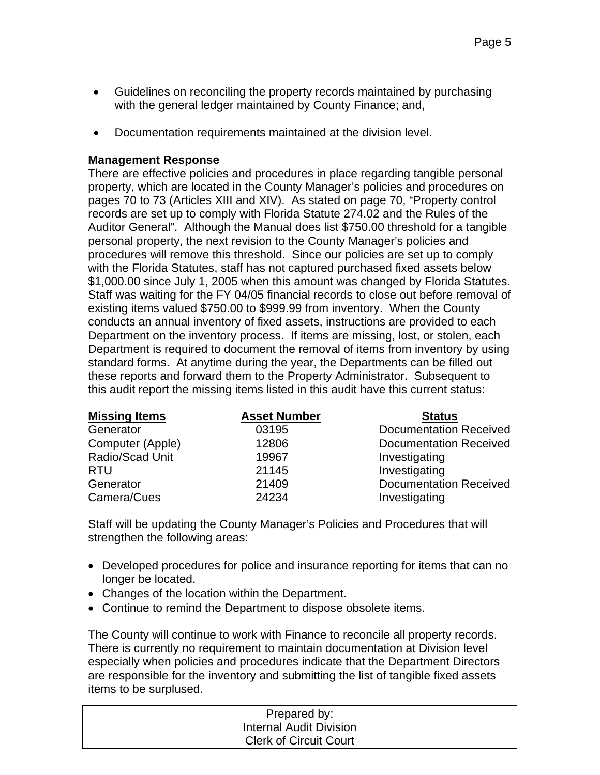- Guidelines on reconciling the property records maintained by purchasing with the general ledger maintained by County Finance; and,
- Documentation requirements maintained at the division level.

#### **Management Response**

There are effective policies and procedures in place regarding tangible personal property, which are located in the County Manager's policies and procedures on pages 70 to 73 (Articles XIII and XIV). As stated on page 70, "Property control records are set up to comply with Florida Statute 274.02 and the Rules of the Auditor General". Although the Manual does list \$750.00 threshold for a tangible personal property, the next revision to the County Manager's policies and procedures will remove this threshold. Since our policies are set up to comply with the Florida Statutes, staff has not captured purchased fixed assets below \$1,000.00 since July 1, 2005 when this amount was changed by Florida Statutes. Staff was waiting for the FY 04/05 financial records to close out before removal of existing items valued \$750.00 to \$999.99 from inventory. When the County conducts an annual inventory of fixed assets, instructions are provided to each Department on the inventory process. If items are missing, lost, or stolen, each Department is required to document the removal of items from inventory by using standard forms. At anytime during the year, the Departments can be filled out these reports and forward them to the Property Administrator. Subsequent to this audit report the missing items listed in this audit have this current status:

| <b>Missing Items</b> | <b>Asset Number</b> | <b>Status</b>                 |
|----------------------|---------------------|-------------------------------|
| Generator            | 03195               | <b>Documentation Received</b> |
| Computer (Apple)     | 12806               | <b>Documentation Received</b> |
| Radio/Scad Unit      | 19967               | Investigating                 |
| <b>RTU</b>           | 21145               | Investigating                 |
| Generator            | 21409               | <b>Documentation Received</b> |
| Camera/Cues          | 24234               | Investigating                 |

Staff will be updating the County Manager's Policies and Procedures that will strengthen the following areas:

- Developed procedures for police and insurance reporting for items that can no longer be located.
- Changes of the location within the Department.
- Continue to remind the Department to dispose obsolete items.

The County will continue to work with Finance to reconcile all property records. There is currently no requirement to maintain documentation at Division level especially when policies and procedures indicate that the Department Directors are responsible for the inventory and submitting the list of tangible fixed assets items to be surplused.

| Prepared by:                   |
|--------------------------------|
| <b>Internal Audit Division</b> |
| <b>Clerk of Circuit Court</b>  |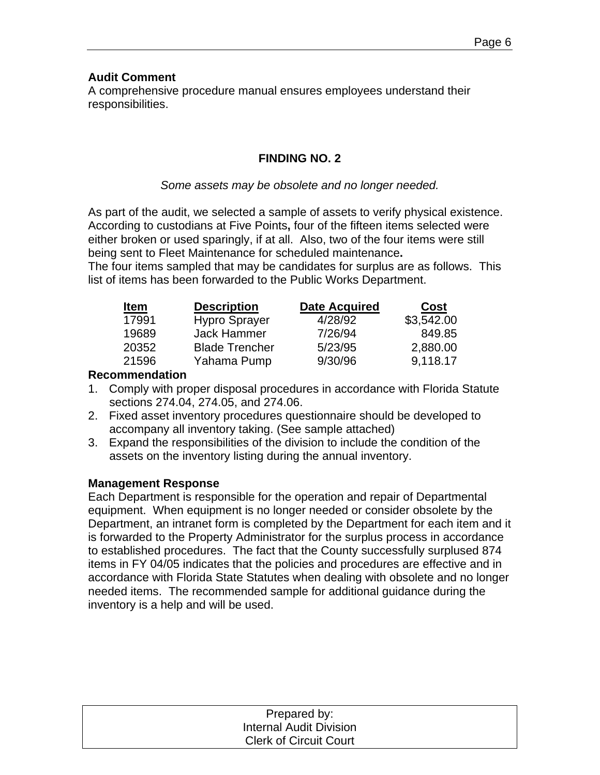## **Audit Comment**

A comprehensive procedure manual ensures employees understand their responsibilities.

## **FINDING NO. 2**

## *Some assets may be obsolete and no longer needed.*

As part of the audit, we selected a sample of assets to verify physical existence. According to custodians at Five Points**,** four of the fifteen items selected were either broken or used sparingly, if at all. Also, two of the four items were still being sent to Fleet Maintenance for scheduled maintenance**.** 

The four items sampled that may be candidates for surplus are as follows. This list of items has been forwarded to the Public Works Department.

| <b>Item</b> | <b>Description</b>    | <b>Date Acquired</b> | <b>Cost</b> |
|-------------|-----------------------|----------------------|-------------|
| 17991       | <b>Hypro Sprayer</b>  | 4/28/92              | \$3,542.00  |
| 19689       | Jack Hammer           | 7/26/94              | 849.85      |
| 20352       | <b>Blade Trencher</b> | 5/23/95              | 2,880.00    |
| 21596       | Yahama Pump           | 9/30/96              | 9,118.17    |

## **Recommendation**

- 1. Comply with proper disposal procedures in accordance with Florida Statute sections 274.04, 274.05, and 274.06.
- 2. Fixed asset inventory procedures questionnaire should be developed to accompany all inventory taking. (See sample attached)
- 3. Expand the responsibilities of the division to include the condition of the assets on the inventory listing during the annual inventory.

## **Management Response**

Each Department is responsible for the operation and repair of Departmental equipment. When equipment is no longer needed or consider obsolete by the Department, an intranet form is completed by the Department for each item and it is forwarded to the Property Administrator for the surplus process in accordance to established procedures. The fact that the County successfully surplused 874 items in FY 04/05 indicates that the policies and procedures are effective and in accordance with Florida State Statutes when dealing with obsolete and no longer needed items. The recommended sample for additional guidance during the inventory is a help and will be used.

| Prepared by:                  |  |
|-------------------------------|--|
| Internal Audit Division       |  |
| <b>Clerk of Circuit Court</b> |  |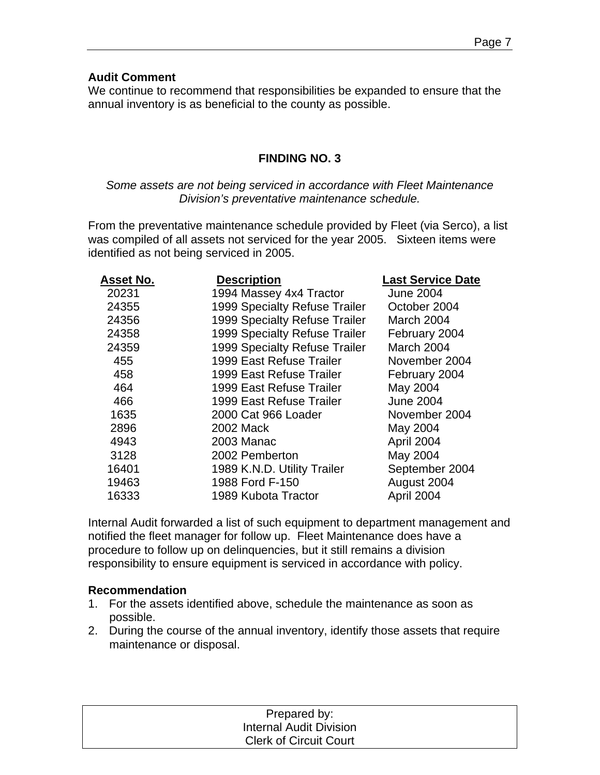## **Audit Comment**

We continue to recommend that responsibilities be expanded to ensure that the annual inventory is as beneficial to the county as possible.

## **FINDING NO. 3**

## *Some assets are not being serviced in accordance with Fleet Maintenance Division's preventative maintenance schedule.*

From the preventative maintenance schedule provided by Fleet (via Serco), a list was compiled of all assets not serviced for the year 2005. Sixteen items were identified as not being serviced in 2005.

| Asset No. | <b>Description</b>            | <b>Last Service Date</b> |
|-----------|-------------------------------|--------------------------|
| 20231     | 1994 Massey 4x4 Tractor       | <b>June 2004</b>         |
| 24355     | 1999 Specialty Refuse Trailer | October 2004             |
| 24356     | 1999 Specialty Refuse Trailer | March 2004               |
| 24358     | 1999 Specialty Refuse Trailer | February 2004            |
| 24359     | 1999 Specialty Refuse Trailer | March 2004               |
| 455       | 1999 East Refuse Trailer      | November 2004            |
| 458       | 1999 East Refuse Trailer      | February 2004            |
| 464       | 1999 East Refuse Trailer      | May 2004                 |
| 466       | 1999 East Refuse Trailer      | <b>June 2004</b>         |
| 1635      | 2000 Cat 966 Loader           | November 2004            |
| 2896      | 2002 Mack                     | May 2004                 |
| 4943      | 2003 Manac                    | April 2004               |
| 3128      | 2002 Pemberton                | May 2004                 |
| 16401     | 1989 K.N.D. Utility Trailer   | September 2004           |
| 19463     | 1988 Ford F-150               | August 2004              |
| 16333     | 1989 Kubota Tractor           | April 2004               |

Internal Audit forwarded a list of such equipment to department management and notified the fleet manager for follow up. Fleet Maintenance does have a procedure to follow up on delinquencies, but it still remains a division responsibility to ensure equipment is serviced in accordance with policy.

## **Recommendation**

- 1. For the assets identified above, schedule the maintenance as soon as possible.
- 2. During the course of the annual inventory, identify those assets that require maintenance or disposal.

| Prepared by:                   |  |
|--------------------------------|--|
| <b>Internal Audit Division</b> |  |
| <b>Clerk of Circuit Court</b>  |  |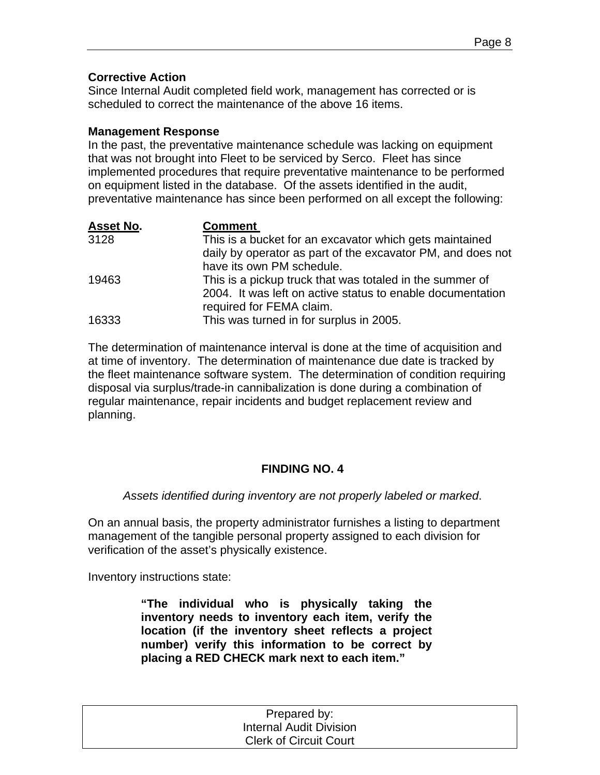## **Corrective Action**

Since Internal Audit completed field work, management has corrected or is scheduled to correct the maintenance of the above 16 items.

## **Management Response**

In the past, the preventative maintenance schedule was lacking on equipment that was not brought into Fleet to be serviced by Serco. Fleet has since implemented procedures that require preventative maintenance to be performed on equipment listed in the database. Of the assets identified in the audit, preventative maintenance has since been performed on all except the following:

| <b>Asset No.</b> | <b>Comment</b>                                              |
|------------------|-------------------------------------------------------------|
| 3128             | This is a bucket for an excavator which gets maintained     |
|                  | daily by operator as part of the excavator PM, and does not |
|                  | have its own PM schedule.                                   |
| 19463            | This is a pickup truck that was totaled in the summer of    |
|                  | 2004. It was left on active status to enable documentation  |
|                  | required for FEMA claim.                                    |
| 16333            | This was turned in for surplus in 2005.                     |

The determination of maintenance interval is done at the time of acquisition and at time of inventory. The determination of maintenance due date is tracked by the fleet maintenance software system. The determination of condition requiring disposal via surplus/trade-in cannibalization is done during a combination of regular maintenance, repair incidents and budget replacement review and planning.

## **FINDING NO. 4**

*Assets identified during inventory are not properly labeled or marked*.

On an annual basis, the property administrator furnishes a listing to department management of the tangible personal property assigned to each division for verification of the asset's physically existence.

Inventory instructions state:

**"The individual who is physically taking the inventory needs to inventory each item, verify the location (if the inventory sheet reflects a project number) verify this information to be correct by placing a RED CHECK mark next to each item."** 

| Prepared by:                   |  |
|--------------------------------|--|
| <b>Internal Audit Division</b> |  |
| <b>Clerk of Circuit Court</b>  |  |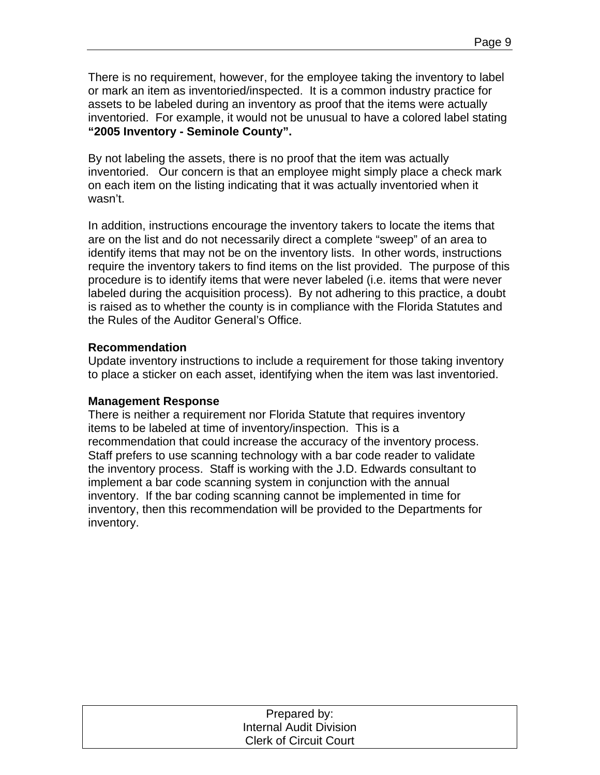There is no requirement, however, for the employee taking the inventory to label or mark an item as inventoried/inspected. It is a common industry practice for assets to be labeled during an inventory as proof that the items were actually inventoried. For example, it would not be unusual to have a colored label stating **"2005 Inventory - Seminole County".** 

By not labeling the assets, there is no proof that the item was actually inventoried. Our concern is that an employee might simply place a check mark on each item on the listing indicating that it was actually inventoried when it wasn't.

In addition, instructions encourage the inventory takers to locate the items that are on the list and do not necessarily direct a complete "sweep" of an area to identify items that may not be on the inventory lists. In other words, instructions require the inventory takers to find items on the list provided. The purpose of this procedure is to identify items that were never labeled (i.e. items that were never labeled during the acquisition process). By not adhering to this practice, a doubt is raised as to whether the county is in compliance with the Florida Statutes and the Rules of the Auditor General's Office.

## **Recommendation**

Update inventory instructions to include a requirement for those taking inventory to place a sticker on each asset, identifying when the item was last inventoried.

## **Management Response**

There is neither a requirement nor Florida Statute that requires inventory items to be labeled at time of inventory/inspection. This is a recommendation that could increase the accuracy of the inventory process. Staff prefers to use scanning technology with a bar code reader to validate the inventory process. Staff is working with the J.D. Edwards consultant to implement a bar code scanning system in conjunction with the annual inventory. If the bar coding scanning cannot be implemented in time for inventory, then this recommendation will be provided to the Departments for inventory.

| Prepared by:                  |  |
|-------------------------------|--|
| Internal Audit Division       |  |
| <b>Clerk of Circuit Court</b> |  |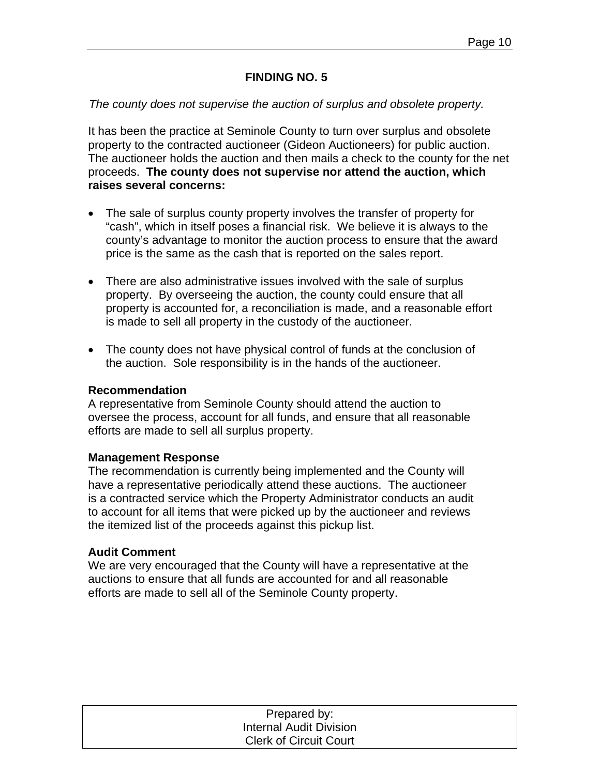## **FINDING NO. 5**

#### *The county does not supervise the auction of surplus and obsolete property.*

It has been the practice at Seminole County to turn over surplus and obsolete property to the contracted auctioneer (Gideon Auctioneers) for public auction. The auctioneer holds the auction and then mails a check to the county for the net proceeds. **The county does not supervise nor attend the auction, which raises several concerns:** 

- The sale of surplus county property involves the transfer of property for "cash", which in itself poses a financial risk. We believe it is always to the county's advantage to monitor the auction process to ensure that the award price is the same as the cash that is reported on the sales report.
- There are also administrative issues involved with the sale of surplus property. By overseeing the auction, the county could ensure that all property is accounted for, a reconciliation is made, and a reasonable effort is made to sell all property in the custody of the auctioneer.
- The county does not have physical control of funds at the conclusion of the auction. Sole responsibility is in the hands of the auctioneer.

#### **Recommendation**

A representative from Seminole County should attend the auction to oversee the process, account for all funds, and ensure that all reasonable efforts are made to sell all surplus property.

#### **Management Response**

The recommendation is currently being implemented and the County will have a representative periodically attend these auctions. The auctioneer is a contracted service which the Property Administrator conducts an audit to account for all items that were picked up by the auctioneer and reviews the itemized list of the proceeds against this pickup list.

#### **Audit Comment**

We are very encouraged that the County will have a representative at the auctions to ensure that all funds are accounted for and all reasonable efforts are made to sell all of the Seminole County property.

| Prepared by:                   |  |
|--------------------------------|--|
| <b>Internal Audit Division</b> |  |
| <b>Clerk of Circuit Court</b>  |  |